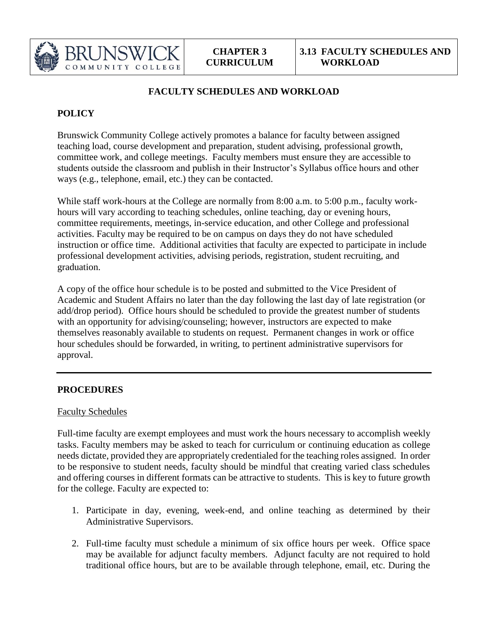

## **FACULTY SCHEDULES AND WORKLOAD**

# **POLICY**

Brunswick Community College actively promotes a balance for faculty between assigned teaching load, course development and preparation, student advising, professional growth, committee work, and college meetings. Faculty members must ensure they are accessible to students outside the classroom and publish in their Instructor's Syllabus office hours and other ways (e.g., telephone, email, etc.) they can be contacted.

While staff work-hours at the College are normally from 8:00 a.m. to 5:00 p.m., faculty workhours will vary according to teaching schedules, online teaching, day or evening hours, committee requirements, meetings, in-service education, and other College and professional activities. Faculty may be required to be on campus on days they do not have scheduled instruction or office time. Additional activities that faculty are expected to participate in include professional development activities, advising periods, registration, student recruiting, and graduation.

A copy of the office hour schedule is to be posted and submitted to the Vice President of Academic and Student Affairs no later than the day following the last day of late registration (or add/drop period). Office hours should be scheduled to provide the greatest number of students with an opportunity for advising/counseling; however, instructors are expected to make themselves reasonably available to students on request. Permanent changes in work or office hour schedules should be forwarded, in writing, to pertinent administrative supervisors for approval.

### **PROCEDURES**

### Faculty Schedules

Full-time faculty are exempt employees and must work the hours necessary to accomplish weekly tasks. Faculty members may be asked to teach for curriculum or continuing education as college needs dictate, provided they are appropriately credentialed for the teaching roles assigned. In order to be responsive to student needs, faculty should be mindful that creating varied class schedules and offering courses in different formats can be attractive to students. This is key to future growth for the college. Faculty are expected to:

- 1. Participate in day, evening, week-end, and online teaching as determined by their Administrative Supervisors.
- 2. Full-time faculty must schedule a minimum of six office hours per week. Office space may be available for adjunct faculty members. Adjunct faculty are not required to hold traditional office hours, but are to be available through telephone, email, etc. During the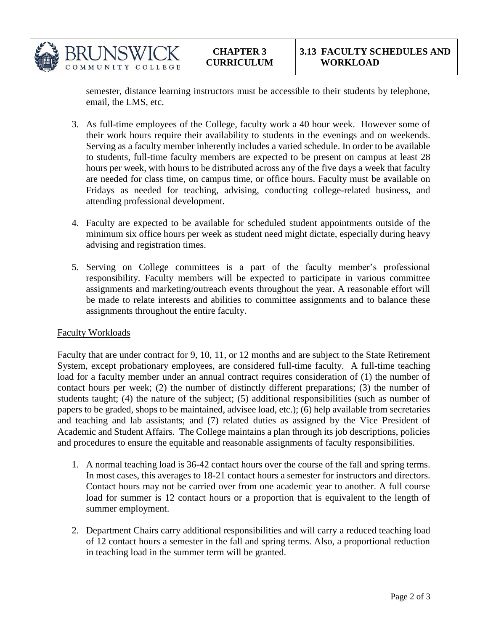

semester, distance learning instructors must be accessible to their students by telephone, email, the LMS, etc.

- 3. As full-time employees of the College, faculty work a 40 hour week. However some of their work hours require their availability to students in the evenings and on weekends. Serving as a faculty member inherently includes a varied schedule. In order to be available to students, full-time faculty members are expected to be present on campus at least 28 hours per week, with hours to be distributed across any of the five days a week that faculty are needed for class time, on campus time, or office hours. Faculty must be available on Fridays as needed for teaching, advising, conducting college-related business, and attending professional development.
- 4. Faculty are expected to be available for scheduled student appointments outside of the minimum six office hours per week as student need might dictate, especially during heavy advising and registration times.
- 5. Serving on College committees is a part of the faculty member's professional responsibility. Faculty members will be expected to participate in various committee assignments and marketing/outreach events throughout the year. A reasonable effort will be made to relate interests and abilities to committee assignments and to balance these assignments throughout the entire faculty.

#### Faculty Workloads

Faculty that are under contract for 9, 10, 11, or 12 months and are subject to the State Retirement System, except probationary employees, are considered full-time faculty. A full-time teaching load for a faculty member under an annual contract requires consideration of (1) the number of contact hours per week; (2) the number of distinctly different preparations; (3) the number of students taught; (4) the nature of the subject; (5) additional responsibilities (such as number of papers to be graded, shops to be maintained, advisee load, etc.); (6) help available from secretaries and teaching and lab assistants; and (7) related duties as assigned by the Vice President of Academic and Student Affairs. The College maintains a plan through its job descriptions, policies and procedures to ensure the equitable and reasonable assignments of faculty responsibilities.

- 1. A normal teaching load is 36-42 contact hours over the course of the fall and spring terms. In most cases, this averages to 18-21 contact hours a semester for instructors and directors. Contact hours may not be carried over from one academic year to another. A full course load for summer is 12 contact hours or a proportion that is equivalent to the length of summer employment.
- 2. Department Chairs carry additional responsibilities and will carry a reduced teaching load of 12 contact hours a semester in the fall and spring terms. Also, a proportional reduction in teaching load in the summer term will be granted.